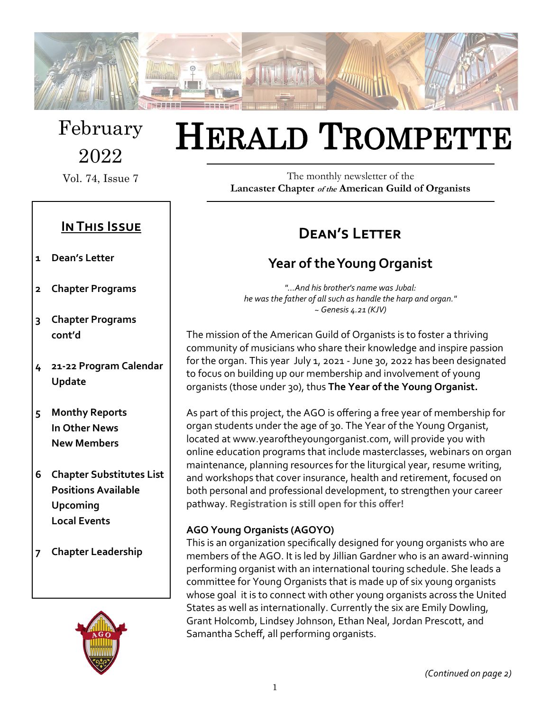

February 2022

Vol. 74, Issue 7

## **In This Issue**

- **1 Dean's Letter**
- **2 Chapter Programs**
- **3 Chapter Programs cont'd**
- **4 21-22 Program Calendar Update**
- **5 Monthy Reports In Other News New Members**
- **6 Chapter Substitutes List Positions Available Upcoming Local Events**
- **7 Chapter Leadership**



# HERALD TROMPETTE

The monthly newsletter of the **Lancaster Chapter of the American Guild of Organists**

# **Dean's Letter**

# **Year of the Young Organist**

*"...And his brother's name was Jubal: he was the father of all such as handle the harp and organ." ~ Genesis 4.21 (KJV)*

The mission of the American Guild of Organists is to foster a thriving community of musicians who share their knowledge and inspire passion for the organ. This year July 1, 2021 - June 30, 2022 has been designated to focus on building up our membership and involvement of young organists (those under 30), thus **The Year of the Young Organist.** 

As part of this project, the AGO is offering a free year of membership for organ students under the age of 30. The Year of the Young Organist, located at www.yearoftheyoungorganist.com, will provide you with online education programs that include masterclasses, webinars on organ maintenance, planning resources for the liturgical year, resume writing, and workshops that cover insurance, health and retirement, focused on both personal and professional development, to strengthen your career pathway. **Registration is still open for this offer!**

#### **AGO Young Organists (AGOYO)**

This is an organization specifically designed for young organists who are members of the AGO. It is led by Jillian Gardner who is an award-winning performing organist with an international touring schedule. She leads a committee for Young Organists that is made up of six young organists whose goal it is to connect with other young organists across the United States as well as internationally. Currently the six are Emily Dowling, Grant Holcomb, Lindsey Johnson, Ethan Neal, Jordan Prescott, and Samantha Scheff, all performing organists.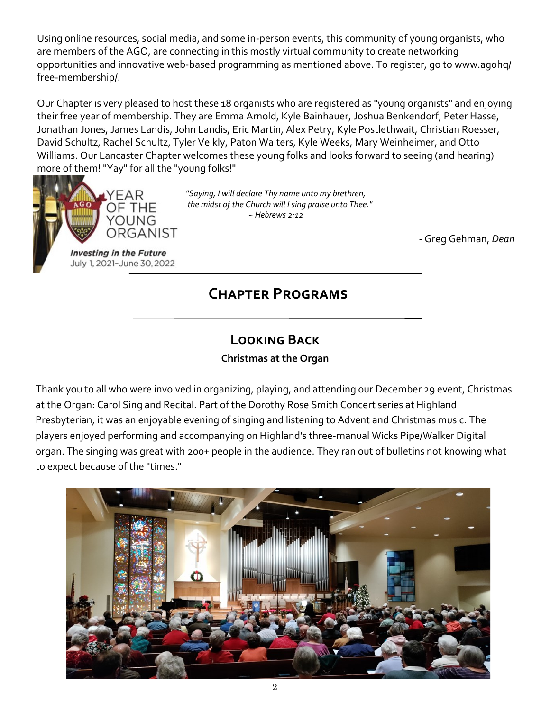Using online resources, social media, and some in-person events, this community of young organists, who are members of the AGO, are connecting in this mostly virtual community to create networking opportunities and innovative web-based programming as mentioned above. To register, go to www.agohq/ free-membership/.

Our Chapter is very pleased to host these 18 organists who are registered as "young organists" and enjoying their free year of membership. They are Emma Arnold, Kyle Bainhauer, Joshua Benkendorf, Peter Hasse, Jonathan Jones, James Landis, John Landis, Eric Martin, Alex Petry, Kyle Postlethwait, Christian Roesser, David Schultz, Rachel Schultz, Tyler Velkly, Paton Walters, Kyle Weeks, Mary Weinheimer, and Otto Williams. Our Lancaster Chapter welcomes these young folks and looks forward to seeing (and hearing) more of them! "Yay" for all the "young folks!"



*"Saying, I will declare Thy name unto my brethren, in the midst of the Church will I sing praise unto Thee." ~ Hebrews 2:12*

- Greg Gehman, *Dean*

# **Chapter Programs**

# **Looking Back**

**Christmas at the Organ**

Thank you to all who were involved in organizing, playing, and attending our December 29 event, Christmas at the Organ: Carol Sing and Recital. Part of the Dorothy Rose Smith Concert series at Highland Presbyterian, it was an enjoyable evening of singing and listening to Advent and Christmas music. The players enjoyed performing and accompanying on Highland's three-manual Wicks Pipe/Walker Digital organ. The singing was great with 200+ people in the audience. They ran out of bulletins not knowing what to expect because of the "times."

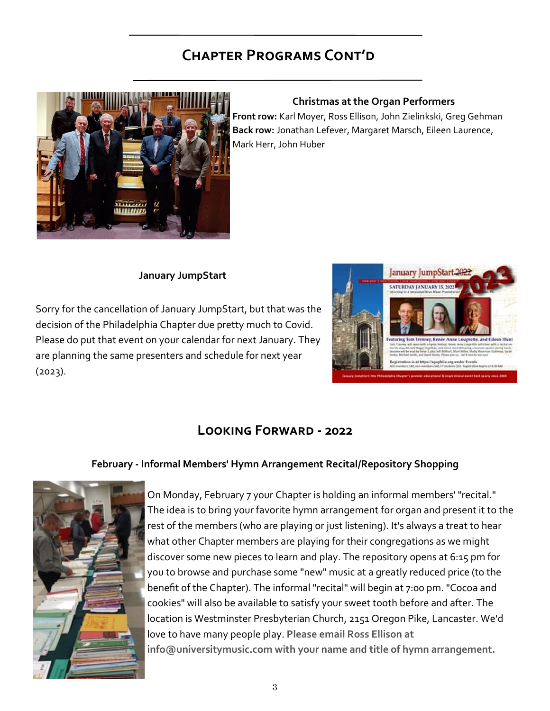# **Chapter Programs Cont'd**



#### **Christmas at the Organ Performers**

**Front row:** Karl Moyer, Ross Ellison, John Zielinkski, Greg Gehman **Back row:** Jonathan Lefever, Margaret Marsch, Eileen Laurence, Mark Herr, John Huber

#### **January JumpStart**

Sorry for the cancellation of January JumpStart, but that was the decision of the Philadelphia Chapter due pretty much to Covid. Please do put that event on your calendar for next January. They are planning the same presenters and schedule for next year (2023).



## **Looking Forward - 2022**

#### **February - Informal Members' Hymn Arrangement Recital/Repository Shopping**



On Monday, February 7 your Chapter is holding an informal members' "recital." The idea is to bring your favorite hymn arrangement for organ and present it to the rest of the members (who are playing or just listening). It's always a treat to hear what other Chapter members are playing for their congregations as we might discover some new pieces to learn and play. The repository opens at 6:15 pm for you to browse and purchase some "new" music at a greatly reduced price (to the benefit of the Chapter). The informal "recital" will begin at 7:00 pm. "Cocoa and cookies" will also be available to satisfy your sweet tooth before and after. The location is Westminster Presbyterian Church, 2151 Oregon Pike, Lancaster. We'd love to have many people play. **Please email Ross Ellison at info@universitymusic.com with your name and title of hymn arrangement.**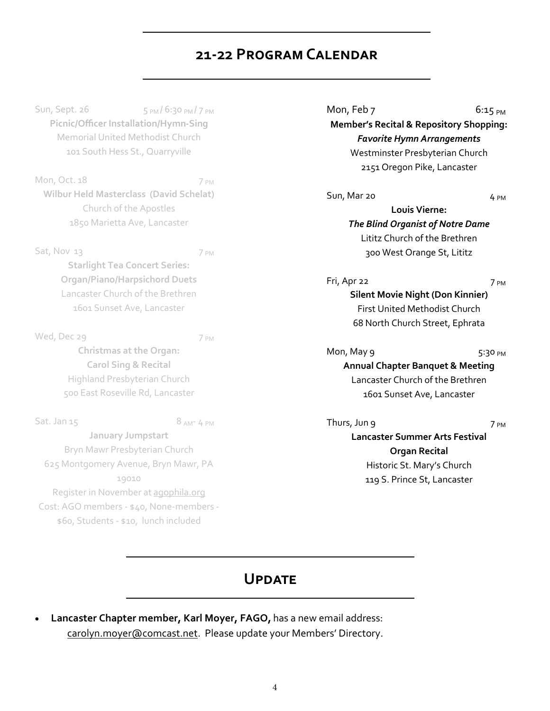## **21-22 Program Calendar**

Sun, Sept. 26 5 PM / 6:30 PM / 7 PM **Picnic/Officer Installation/Hymn-Sing** Memorial United Methodist Church 101 South Hess St., Quarryville

Mon, Oct. 18 7 PM **Wilbur Held Masterclass (David Schelat)** Church of the Apostles 1850 Marietta Ave, Lancaster

Sat, Nov 13 7 PM **Starlight Tea Concert Series: Organ/Piano/Harpsichord Duets** Lancaster Church of the Brethren 1601 Sunset Ave, Lancaster

Wed, Dec 29 7 PM **Christmas at the Organ: Carol Sing & Recital** Highland Presbyterian Church 500 East Roseville Rd, Lancaster

Sat. Jan  $15$  8 AM- 4 PM **January Jumpstart** Bryn Mawr Presbyterian Church 625 Montgomery Avenue, Bryn Mawr, PA 19010 Register in November at [agophila.org](http://www.agophila.org) Cost: AGO members - \$40, None-members - \$60, Students - \$10, lunch included

Mon, Feb 7 6:15 PM **Member's Recital & Repository Shopping:** *Favorite Hymn Arrangements* Westminster Presbyterian Church 2151 Oregon Pike, Lancaster

Sun, Mar 20 4 PM

**Louis Vierne:**  *The Blind Organist of Notre Dame* Lititz Church of the Brethren 300 West Orange St, Lititz

Fri, Apr 22 7 PM **Silent Movie Night (Don Kinnier)** First United Methodist Church 68 North Church Street, Ephrata

Mon, May  $9 \t\t 5:30 \t{pm}$ **Annual Chapter Banquet & Meeting** Lancaster Church of the Brethren 1601 Sunset Ave, Lancaster

Thurs, Jun 9 7 PM **Lancaster Summer Arts Festival Organ Recital** Historic St. Mary's Church 119 S. Prince St, Lancaster

## **Update**

• **Lancaster Chapter member, Karl Moyer, FAGO,** has a new email address: carolyn.moyer@comcast.net. Please update your Members' Directory.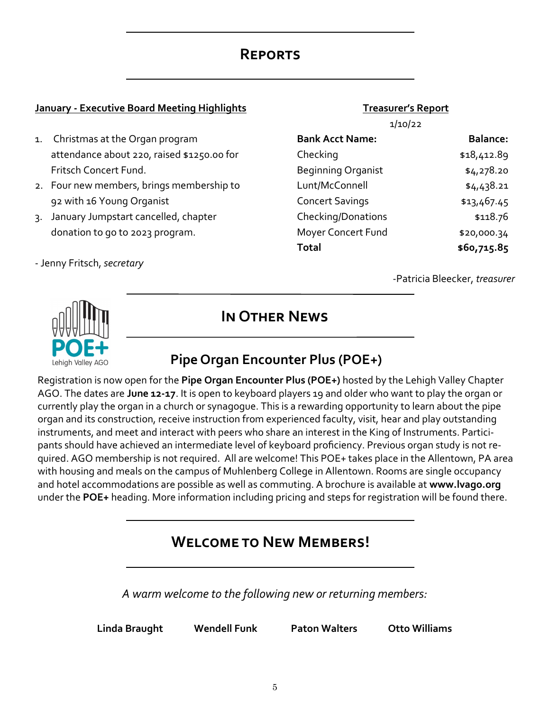## **Reports**

#### **January - Executive Board Meeting Highlights**

- 1. Christmas at the Organ program attendance about 220, raised \$1250.00 for Fritsch Concert Fund.
- 2. Four new members, brings membership to 92 with 16 Young Organist
- 3. January Jumpstart cancelled, chapter donation to go to 2023 program.
- Jenny Fritsch, *secretary*

#### **Treasurer's Report**

| I<br>a sa |  |
|-----------|--|
|-----------|--|

| <b>Bank Acct Name:</b>    | <b>Balance:</b> |
|---------------------------|-----------------|
| Checking                  | \$18,412.89     |
| <b>Beginning Organist</b> | \$4,278.20      |
| Lunt/McConnell            | \$4,438.21      |
| <b>Concert Savings</b>    | \$13,467.45     |
| Checking/Donations        | \$118.76        |
| Moyer Concert Fund        | \$20,000.34     |
| <b>Total</b>              | \$60,715.85     |

-Patricia Bleecker, *treasurer*



**In Other News**

# **Pipe Organ Encounter Plus (POE+)**

Registration is now open for the **Pipe Organ Encounter Plus (POE+)** hosted by the Lehigh Valley Chapter AGO. The dates are **June 12-17**. It is open to keyboard players 19 and older who want to play the organ or currently play the organ in a church or synagogue. This is a rewarding opportunity to learn about the pipe organ and its construction, receive instruction from experienced faculty, visit, hear and play outstanding instruments, and meet and interact with peers who share an interest in the King of Instruments. Participants should have achieved an intermediate level of keyboard proficiency. Previous organ study is not required. AGO membership is not required. All are welcome! This POE+ takes place in the Allentown, PA area with housing and meals on the campus of Muhlenberg College in Allentown. Rooms are single occupancy and hotel accommodations are possible as well as commuting. A brochure is available at **www.lvago.org** under the **POE+** heading. More information including pricing and steps for registration will be found there.

## **Welcome to New Members!**

*A warm welcome to the following new or returning members:*

**Linda Braught Wendell Funk Paton Walters Otto Williams**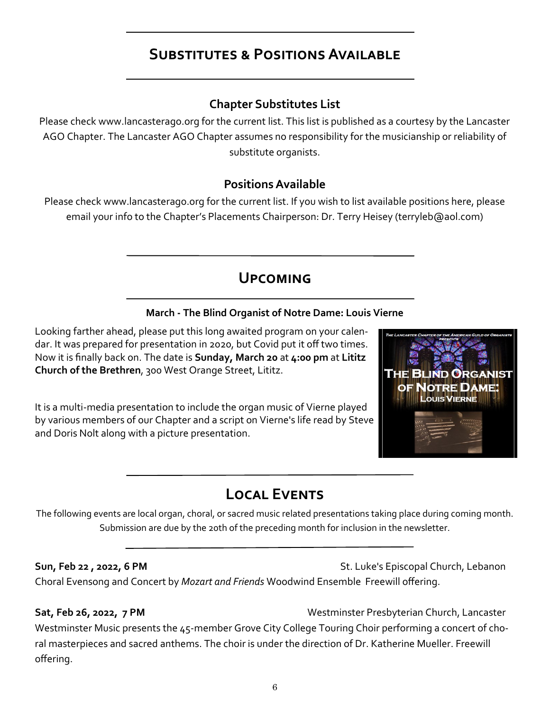# **Substitutes & Positions Available**

## **Chapter Substitutes List**

Please check www.lancasterago.org for the current list. This list is published as a courtesy by the Lancaster AGO Chapter. The Lancaster AGO Chapter assumes no responsibility for the musicianship or reliability of substitute organists.

### **Positions Available**

Please check www.lancasterago.org for the current list. If you wish to list available positions here, please email your info to the Chapter's Placements Chairperson: Dr. Terry Heisey (terryleb@aol.com)

# **Upcoming**

#### **March - The Blind Organist of Notre Dame: Louis Vierne**

Looking farther ahead, please put this long awaited program on your calendar. It was prepared for presentation in 2020, but Covid put it off two times. Now it is finally back on. The date is **Sunday, March 20** at **4:00 pm** at **Lititz Church of the Brethren**, 300 West Orange Street, Lititz.

It is a multi-media presentation to include the organ music of Vierne played by various members of our Chapter and a script on Vierne's life read by Steve and Doris Nolt along with a picture presentation.



# **Local Events**

The following events are local organ, choral, or sacred music related presentations taking place during coming month. Submission are due by the 20th of the preceding month for inclusion in the newsletter.

**Sun, Feb 22 , 2022, 6 PM** St. Luke's Episcopal Church, Lebanon Choral Evensong and Concert by *Mozart and Friends* Woodwind Ensemble Freewill offering.

**Sat, Feb 26, 2022, 7 PM** Westminster Presbyterian Church, Lancaster Westminster Music presents the 45-member Grove City College Touring Choir performing a concert of choral masterpieces and sacred anthems. The choir is under the direction of Dr. Katherine Mueller. Freewill offering.